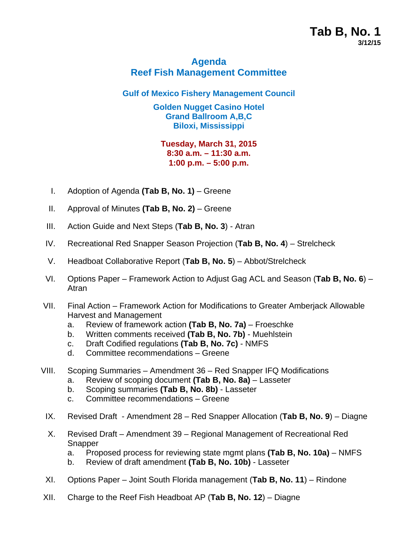# **Tab B, No. 1 3/12/15**

## **Agenda Reef Fish Management Committee**

#### **Gulf of Mexico Fishery Management Council**

**Golden Nugget Casino Hotel Grand Ballroom A,B,C Biloxi, Mississippi** 

#### **Tuesday, March 31, 2015 8:30 a.m. – 11:30 a.m. 1:00 p.m. – 5:00 p.m.**

- I. Adoption of Agenda **(Tab B, No. 1)** Greene
- II. Approval of Minutes (Tab B, No. 2) Greene
- III. Action Guide and Next Steps (**Tab B, No. 3**) Atran
- IV. Recreational Red Snapper Season Projection (**Tab B, No. 4**) Strelcheck
- V. Headboat Collaborative Report (**Tab B, No. 5**) Abbot/Strelcheck
- VI. Options Paper Framework Action to Adjust Gag ACL and Season (**Tab B, No. 6**) Atran
- VII. Final Action Framework Action for Modifications to Greater Amberjack Allowable Harvest and Management
	- a. Review of framework action **(Tab B, No. 7a)** Froeschke
	- b. Written comments received **(Tab B, No. 7b)** Muehlstein
	- c. Draft Codified regulations **(Tab B, No. 7c)** NMFS
	- d. Committee recommendations Greene
- VIII. Scoping Summaries Amendment 36 Red Snapper IFQ Modifications
	- a. Review of scoping document **(Tab B, No. 8a)** Lasseter
	- b. Scoping summaries **(Tab B, No. 8b)** Lasseter
	- c. Committee recommendations Greene
	- IX. Revised Draft Amendment 28 Red Snapper Allocation (**Tab B, No. 9**) Diagne
	- X. Revised Draft Amendment 39 Regional Management of Recreational Red **Snapper** 
		- a. Proposed process for reviewing state mgmt plans **(Tab B, No. 10a)** NMFS
		- b. Review of draft amendment **(Tab B, No. 10b)** Lasseter
- XI. Options Paper Joint South Florida management (**Tab B, No. 11**) Rindone
- XII. Charge to the Reef Fish Headboat AP (**Tab B, No. 12**) Diagne